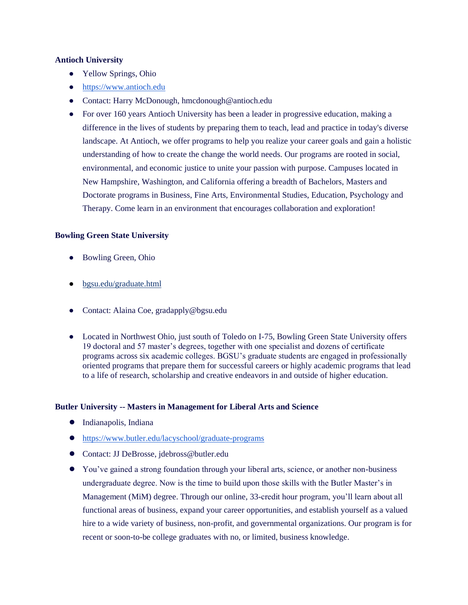#### **Antioch University**

- Yellow Springs, Ohio
- [https://www.antioch.edu](https://www.antioch.edu/)
- Contact: Harry McDonough, hmcdonough@antioch.edu
- For over 160 years Antioch University has been a leader in progressive education, making a difference in the lives of students by preparing them to teach, lead and practice in today's diverse landscape. At Antioch, we offer programs to help you realize your career goals and gain a holistic understanding of how to create the change the world needs. Our programs are rooted in social, environmental, and economic justice to unite your passion with purpose. Campuses located in New Hampshire, Washington, and California offering a breadth of Bachelors, Masters and Doctorate programs in Business, Fine Arts, Environmental Studies, Education, Psychology and Therapy. Come learn in an environment that encourages collaboration and exploration!

# **Bowling Green State University**

- Bowling Green, Ohio
- [bgsu.edu/graduate.html](https://www.bgsu.edu/graduate.html)
- Contact: Alaina Coe, gradapply@bgsu.edu
- Located in Northwest Ohio, just south of Toledo on I-75, Bowling Green State University offers 19 doctoral and 57 master's degrees, together with one specialist and dozens of certificate programs across six academic colleges. BGSU's graduate students are engaged in professionally oriented programs that prepare them for successful careers or highly academic programs that lead to a life of research, scholarship and creative endeavors in and outside of higher education.

#### **Butler University -- Masters in Management for Liberal Arts and Science**

- Indianapolis, Indiana
- <https://www.butler.edu/lacyschool/graduate-programs>
- Contact: JJ DeBrosse, jdebross@butler.edu
- You've gained a strong foundation through your liberal arts, science, or another non-business undergraduate degree. Now is the time to build upon those skills with the Butler Master's in Management (MiM) degree. Through our online, 33-credit hour program, you'll learn about all functional areas of business, expand your career opportunities, and establish yourself as a valued hire to a wide variety of business, non-profit, and governmental organizations. Our program is for recent or soon-to-be college graduates with no, or limited, business knowledge.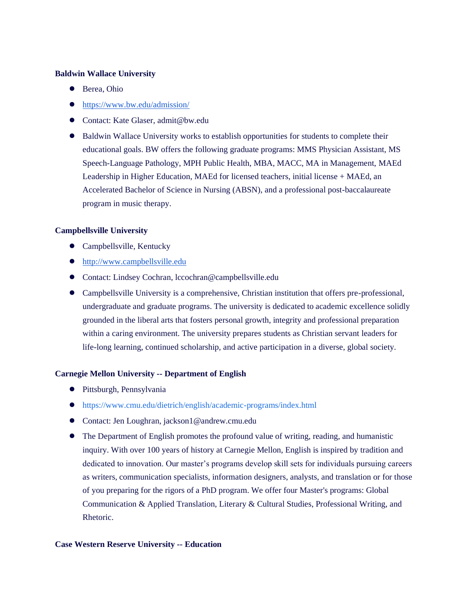#### **Baldwin Wallace University**

- Berea, Ohio
- <https://www.bw.edu/admission/>
- Contact: Kate Glaser, admit@bw.edu
- Baldwin Wallace University works to establish opportunities for students to complete their educational goals. BW offers the following graduate programs: MMS Physician Assistant, MS Speech-Language Pathology, MPH Public Health, MBA, MACC, MA in Management, MAEd Leadership in Higher Education, MAEd for licensed teachers, initial license + MAEd, an Accelerated Bachelor of Science in Nursing (ABSN), and a professional post-baccalaureate program in music therapy.

# **Campbellsville University**

- Campbellsville, Kentucky
- [http://www.campbellsville.edu](http://www.campbellsville.edu/)
- Contact: Lindsey Cochran, lccochran@campbellsville.edu
- Campbellsville University is a comprehensive, Christian institution that offers pre-professional, undergraduate and graduate programs. The university is dedicated to academic excellence solidly grounded in the liberal arts that fosters personal growth, integrity and professional preparation within a caring environment. The university prepares students as Christian servant leaders for life-long learning, continued scholarship, and active participation in a diverse, global society.

# **Carnegie Mellon University -- Department of English**

- Pittsburgh, Pennsylvania
- <https://www.cmu.edu/dietrich/english/academic-programs/index.html>
- Contact: Jen Loughran, jackson1@andrew.cmu.edu
- The Department of English promotes the profound value of writing, reading, and humanistic inquiry. With over 100 years of history at Carnegie Mellon, English is inspired by tradition and dedicated to innovation. Our master's programs develop skill sets for individuals pursuing careers as writers, communication specialists, information designers, analysts, and translation or for those of you preparing for the rigors of a PhD program. We offer four Master's programs: Global Communication & Applied Translation, Literary & Cultural Studies, Professional Writing, and Rhetoric.

#### **Case Western Reserve University -- Education**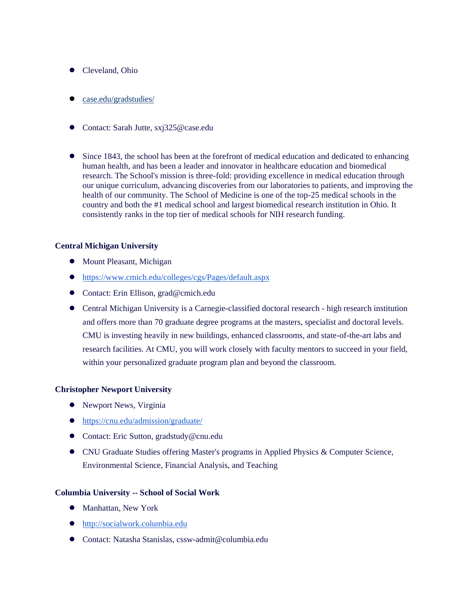- Cleveland, Ohio
- [case.edu/gradstudies/](https://case.edu/gradstudies/)
- Contact: Sarah Jutte, sxj325@case.edu
- Since 1843, the school has been at the forefront of medical education and dedicated to enhancing human health, and has been a leader and innovator in healthcare education and biomedical research. The School's mission is three-fold: providing excellence in medical education through our unique curriculum, advancing discoveries from our laboratories to patients, and improving the health of our community. The School of Medicine is one of the top-25 medical schools in the country and both the #1 medical school and largest biomedical research institution in Ohio. It consistently ranks in the top tier of medical schools for NIH research funding.

# **Central Michigan University**

- Mount Pleasant, Michigan
- <https://www.cmich.edu/colleges/cgs/Pages/default.aspx>
- Contact: Erin Ellison, grad@cmich.edu
- Central Michigan University is a Carnegie-classified doctoral research high research institution and offers more than 70 graduate degree programs at the masters, specialist and doctoral levels. CMU is investing heavily in new buildings, enhanced classrooms, and state-of-the-art labs and research facilities. At CMU, you will work closely with faculty mentors to succeed in your field, within your personalized graduate program plan and beyond the classroom.

# **Christopher Newport University**

- Newport News, Virginia
- <https://cnu.edu/admission/graduate/>
- Contact: Eric Sutton, gradstudy@cnu.edu
- CNU Graduate Studies offering Master's programs in Applied Physics & Computer Science, Environmental Science, Financial Analysis, and Teaching

# **Columbia University -- School of Social Work**

- Manhattan, New York
- [http://socialwork.columbia.edu](http://socialwork.columbia.edu/)
- Contact: Natasha Stanislas, cssw-admit@columbia.edu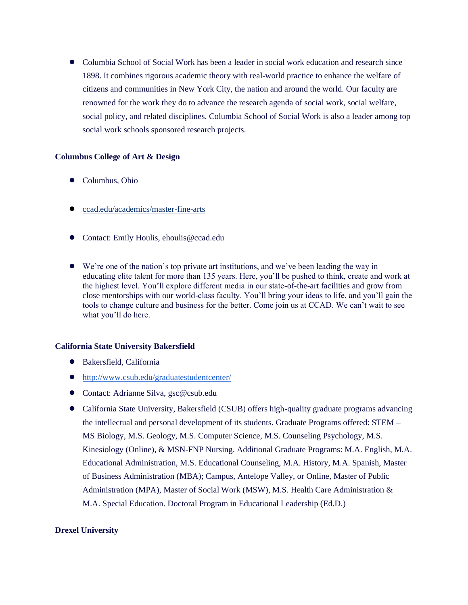● Columbia School of Social Work has been a leader in social work education and research since 1898. It combines rigorous academic theory with real-world practice to enhance the welfare of citizens and communities in New York City, the nation and around the world. Our faculty are renowned for the work they do to advance the research agenda of social work, social welfare, social policy, and related disciplines. Columbia School of Social Work is also a leader among top social work schools sponsored research projects.

#### **Columbus College of Art & Design**

- Columbus, Ohio
- [ccad.edu/academics/master-fine-arts](https://www.ccad.edu/academics/master-fine-arts)
- Contact: Emily Houlis, ehoulis@ccad.edu
- We're one of the nation's top private art institutions, and we've been leading the way in educating elite talent for more than 135 years. Here, you'll be pushed to think, create and work at the highest level. You'll explore different media in our state-of-the-art facilities and grow from close mentorships with our world-class faculty. You'll bring your ideas to life, and you'll gain the tools to change culture and business for the better. Come join us at CCAD. We can't wait to see what you'll do here.

# **California State University Bakersfield**

- Bakersfield, California
- <http://www.csub.edu/graduatestudentcenter/>
- Contact: Adrianne Silva, gsc@csub.edu
- California State University, Bakersfield (CSUB) offers high-quality graduate programs advancing the intellectual and personal development of its students. Graduate Programs offered: STEM – MS Biology, M.S. Geology, M.S. Computer Science, M.S. Counseling Psychology, M.S. Kinesiology (Online), & MSN-FNP Nursing. Additional Graduate Programs: M.A. English, M.A. Educational Administration, M.S. Educational Counseling, M.A. History, M.A. Spanish, Master of Business Administration (MBA); Campus, Antelope Valley, or Online, Master of Public Administration (MPA), Master of Social Work (MSW), M.S. Health Care Administration & M.A. Special Education. Doctoral Program in Educational Leadership (Ed.D.)

#### **Drexel University**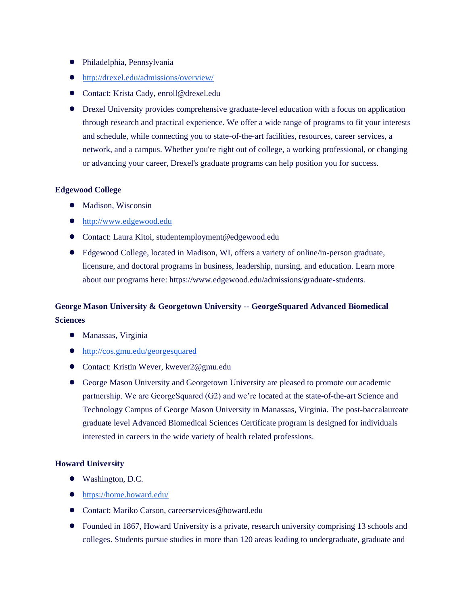- Philadelphia, Pennsylvania
- <http://drexel.edu/admissions/overview/>
- Contact: Krista Cady, enroll@drexel.edu
- Drexel University provides comprehensive graduate-level education with a focus on application through research and practical experience. We offer a wide range of programs to fit your interests and schedule, while connecting you to state-of-the-art facilities, resources, career services, a network, and a campus. Whether you're right out of college, a working professional, or changing or advancing your career, Drexel's graduate programs can help position you for success.

# **Edgewood College**

- Madison, Wisconsin
- [http://www.edgewood.edu](http://www.edgewood.edu/)
- Contact: Laura Kitoi, studentemployment@edgewood.edu
- Edgewood College, located in Madison, WI, offers a variety of online/in-person graduate, licensure, and doctoral programs in business, leadership, nursing, and education. Learn more about our programs here: https://www.edgewood.edu/admissions/graduate-students.

# **George Mason University & Georgetown University -- GeorgeSquared Advanced Biomedical Sciences**

- Manassas, Virginia
- <http://cos.gmu.edu/georgesquared>
- Contact: Kristin Wever, kwever2@gmu.edu
- George Mason University and Georgetown University are pleased to promote our academic partnership. We are GeorgeSquared (G2) and we're located at the state-of-the-art Science and Technology Campus of George Mason University in Manassas, Virginia. The post-baccalaureate graduate level Advanced Biomedical Sciences Certificate program is designed for individuals interested in careers in the wide variety of health related professions.

# **Howard University**

- Washington, D.C.
- <https://home.howard.edu/>
- Contact: Mariko Carson, careerservices@howard.edu
- Founded in 1867, Howard University is a private, research university comprising 13 schools and colleges. Students pursue studies in more than 120 areas leading to undergraduate, graduate and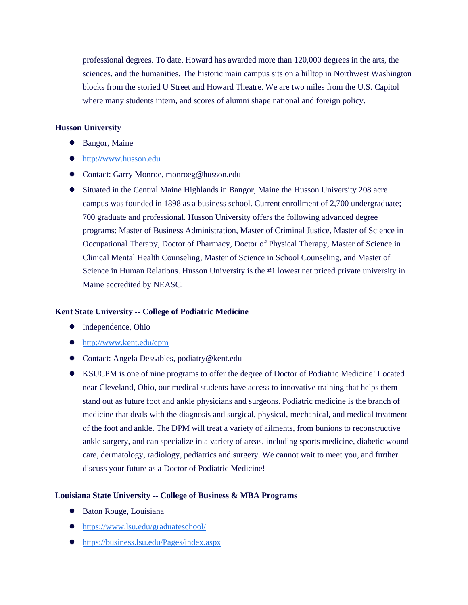professional degrees. To date, Howard has awarded more than 120,000 degrees in the arts, the sciences, and the humanities. The historic main campus sits on a hilltop in Northwest Washington blocks from the storied U Street and Howard Theatre. We are two miles from the U.S. Capitol where many students intern, and scores of alumni shape national and foreign policy.

#### **Husson University**

- Bangor, Maine
- [http://www.husson.edu](http://www.husson.edu/)
- Contact: Garry Monroe, monroeg@husson.edu
- Situated in the Central Maine Highlands in Bangor, Maine the Husson University 208 acre campus was founded in 1898 as a business school. Current enrollment of 2,700 undergraduate; 700 graduate and professional. Husson University offers the following advanced degree programs: Master of Business Administration, Master of Criminal Justice, Master of Science in Occupational Therapy, Doctor of Pharmacy, Doctor of Physical Therapy, Master of Science in Clinical Mental Health Counseling, Master of Science in School Counseling, and Master of Science in Human Relations. Husson University is the #1 lowest net priced private university in Maine accredited by NEASC.

#### **Kent State University -- College of Podiatric Medicine**

- Independence, Ohio
- <http://www.kent.edu/cpm>
- Contact: Angela Dessables, podiatry@kent.edu
- KSUCPM is one of nine programs to offer the degree of Doctor of Podiatric Medicine! Located near Cleveland, Ohio, our medical students have access to innovative training that helps them stand out as future foot and ankle physicians and surgeons. Podiatric medicine is the branch of medicine that deals with the diagnosis and surgical, physical, mechanical, and medical treatment of the foot and ankle. The DPM will treat a variety of ailments, from bunions to reconstructive ankle surgery, and can specialize in a variety of areas, including sports medicine, diabetic wound care, dermatology, radiology, pediatrics and surgery. We cannot wait to meet you, and further discuss your future as a Doctor of Podiatric Medicine!

#### **Louisiana State University -- College of Business & MBA Programs**

- Baton Rouge, Louisiana
- <https://www.lsu.edu/graduateschool/>
- <https://business.lsu.edu/Pages/index.aspx>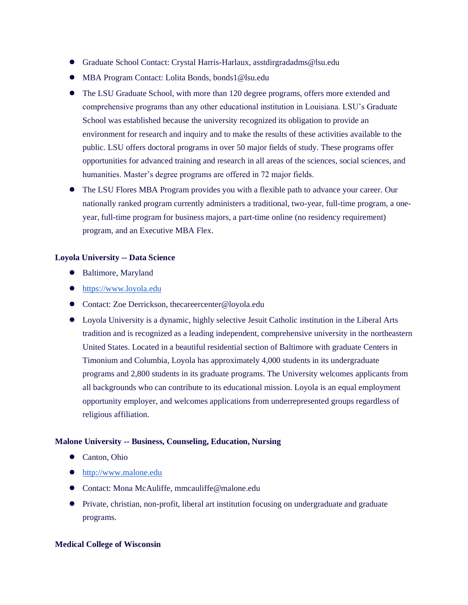- Graduate School Contact: Crystal Harris-Harlaux, asstdirgradadms@lsu.edu
- MBA Program Contact: Lolita Bonds, bonds1@lsu.edu
- The LSU Graduate School, with more than 120 degree programs, offers more extended and comprehensive programs than any other educational institution in Louisiana. LSU's Graduate School was established because the university recognized its obligation to provide an environment for research and inquiry and to make the results of these activities available to the public. LSU offers doctoral programs in over 50 major fields of study. These programs offer opportunities for advanced training and research in all areas of the sciences, social sciences, and humanities. Master's degree programs are offered in 72 major fields.
- The LSU Flores MBA Program provides you with a flexible path to advance your career. Our nationally ranked program currently administers a traditional, two-year, full-time program, a oneyear, full-time program for business majors, a part-time online (no residency requirement) program, and an Executive MBA Flex.

# **Loyola University -- Data Science**

- Baltimore, Maryland
- [https://www.loyola.edu](https://www.loyola.edu/)
- Contact: Zoe Derrickson, thecareercenter@loyola.edu
- Loyola University is a dynamic, highly selective Jesuit Catholic institution in the Liberal Arts tradition and is recognized as a leading independent, comprehensive university in the northeastern United States. Located in a beautiful residential section of Baltimore with graduate Centers in Timonium and Columbia, Loyola has approximately 4,000 students in its undergraduate programs and 2,800 students in its graduate programs. The University welcomes applicants from all backgrounds who can contribute to its educational mission. Loyola is an equal employment opportunity employer, and welcomes applications from underrepresented groups regardless of religious affiliation.

# **Malone University -- Business, Counseling, Education, Nursing**

- Canton, Ohio
- [http://www.malone.edu](http://www.malone.edu/)
- Contact: Mona McAuliffe, mmcauliffe@malone.edu
- Private, christian, non-profit, liberal art institution focusing on undergraduate and graduate programs.

#### **Medical College of Wisconsin**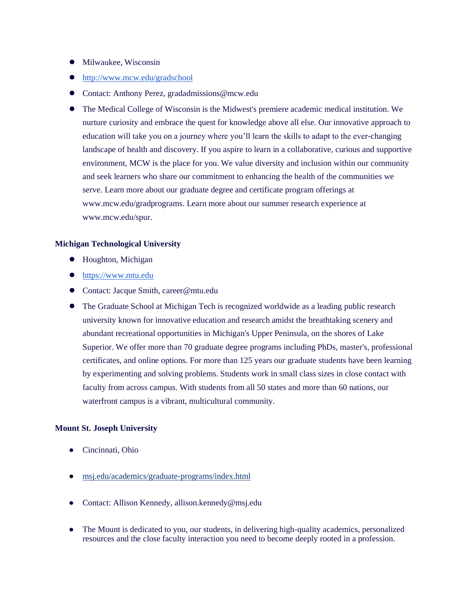- Milwaukee, Wisconsin
- <http://www.mcw.edu/gradschool>
- Contact: Anthony Perez, gradadmissions@mcw.edu
- The Medical College of Wisconsin is the Midwest's premiere academic medical institution. We nurture curiosity and embrace the quest for knowledge above all else. Our innovative approach to education will take you on a journey where you'll learn the skills to adapt to the ever-changing landscape of health and discovery. If you aspire to learn in a collaborative, curious and supportive environment, MCW is the place for you. We value diversity and inclusion within our community and seek learners who share our commitment to enhancing the health of the communities we serve. Learn more about our graduate degree and certificate program offerings at www.mcw.edu/gradprograms. Learn more about our summer research experience at www.mcw.edu/spur.

#### **Michigan Technological University**

- Houghton, Michigan
- [https://www.mtu.edu](https://www.mtu.edu/)
- Contact: Jacque Smith, career@mtu.edu
- The Graduate School at Michigan Tech is recognized worldwide as a leading public research university known for innovative education and research amidst the breathtaking scenery and abundant recreational opportunities in Michigan's Upper Peninsula, on the shores of Lake Superior. We offer more than 70 graduate degree programs including PhDs, master's, professional certificates, and online options. For more than 125 years our graduate students have been learning by experimenting and solving problems. Students work in small class sizes in close contact with faculty from across campus. With students from all 50 states and more than 60 nations, our waterfront campus is a vibrant, multicultural community.

# **Mount St. Joseph University**

- Cincinnati, Ohio
- [msj.edu/academics/graduate-programs/index.html](https://www.msj.edu/academics/graduate-programs/index.html)
- Contact: Allison Kennedy, allison.kennedy@msj.edu
- The Mount is dedicated to you, our students, in delivering high-quality academics, personalized resources and the close faculty interaction you need to become deeply rooted in a profession.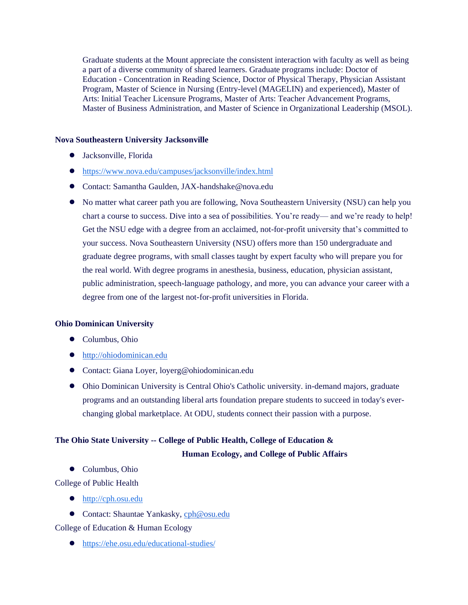Graduate students at the Mount appreciate the consistent interaction with faculty as well as being a part of a diverse community of shared learners. Graduate programs include: Doctor of Education - Concentration in Reading Science, Doctor of Physical Therapy, Physician Assistant Program, Master of Science in Nursing (Entry-level (MAGELIN) and experienced), Master of Arts: Initial Teacher Licensure Programs, Master of Arts: Teacher Advancement Programs, Master of Business Administration, and Master of Science in Organizational Leadership (MSOL).

#### **Nova Southeastern University Jacksonville**

- Jacksonville, Florida
- <https://www.nova.edu/campuses/jacksonville/index.html>
- Contact: Samantha Gaulden, JAX-handshake@nova.edu
- No matter what career path you are following, Nova Southeastern University (NSU) can help you chart a course to success. Dive into a sea of possibilities. You're ready— and we're ready to help! Get the NSU edge with a degree from an acclaimed, not-for-profit university that's committed to your success. Nova Southeastern University (NSU) offers more than 150 undergraduate and graduate degree programs, with small classes taught by expert faculty who will prepare you for the real world. With degree programs in anesthesia, business, education, physician assistant, public administration, speech-language pathology, and more, you can advance your career with a degree from one of the largest not-for-profit universities in Florida.

# **Ohio Dominican University**

- Columbus, Ohio
- [http://ohiodominican.edu](http://ohiodominican.edu/)
- Contact: Giana Loyer, loyerg@ohiodominican.edu
- Ohio Dominican University is Central Ohio's Catholic university. in-demand majors, graduate programs and an outstanding liberal arts foundation prepare students to succeed in today's everchanging global marketplace. At ODU, students connect their passion with a purpose.

# **The Ohio State University -- College of Public Health, College of Education & Human Ecology, and College of Public Affairs**

- Columbus, Ohio
- College of Public Health
	- [http://cph.osu.edu](http://cph.osu.edu/)
	- Contact: Shauntae Yankasky[, cph@osu.edu](mailto:cph@osu.edu)

# College of Education & Human Ecology

● <https://ehe.osu.edu/educational-studies/>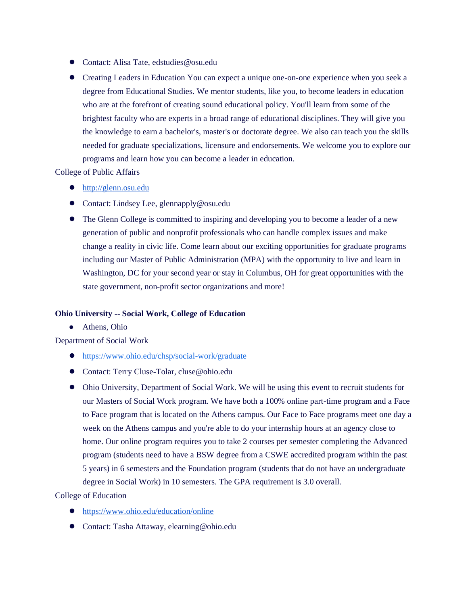- Contact: Alisa Tate, edstudies@osu.edu
- Creating Leaders in Education You can expect a unique one-on-one experience when you seek a degree from Educational Studies. We mentor students, like you, to become leaders in education who are at the forefront of creating sound educational policy. You'll learn from some of the brightest faculty who are experts in a broad range of educational disciplines. They will give you the knowledge to earn a bachelor's, master's or doctorate degree. We also can teach you the skills needed for graduate specializations, licensure and endorsements. We welcome you to explore our programs and learn how you can become a leader in education.

College of Public Affairs

- [http://glenn.osu.edu](http://glenn.osu.edu/)
- Contact: Lindsey Lee, glennapply@osu.edu
- The Glenn College is committed to inspiring and developing you to become a leader of a new generation of public and nonprofit professionals who can handle complex issues and make change a reality in civic life. Come learn about our exciting opportunities for graduate programs including our Master of Public Administration (MPA) with the opportunity to live and learn in Washington, DC for your second year or stay in Columbus, OH for great opportunities with the state government, non-profit sector organizations and more!

# **Ohio University -- Social Work, College of Education**

● Athens, Ohio

Department of Social Work

- <https://www.ohio.edu/chsp/social-work/graduate>
- Contact: Terry Cluse-Tolar, cluse@ohio.edu
- Ohio University, Department of Social Work. We will be using this event to recruit students for our Masters of Social Work program. We have both a 100% online part-time program and a Face to Face program that is located on the Athens campus. Our Face to Face programs meet one day a week on the Athens campus and you're able to do your internship hours at an agency close to home. Our online program requires you to take 2 courses per semester completing the Advanced program (students need to have a BSW degree from a CSWE accredited program within the past 5 years) in 6 semesters and the Foundation program (students that do not have an undergraduate degree in Social Work) in 10 semesters. The GPA requirement is 3.0 overall.

College of Education

- <https://www.ohio.edu/education/online>
- Contact: Tasha Attaway, elearning@ohio.edu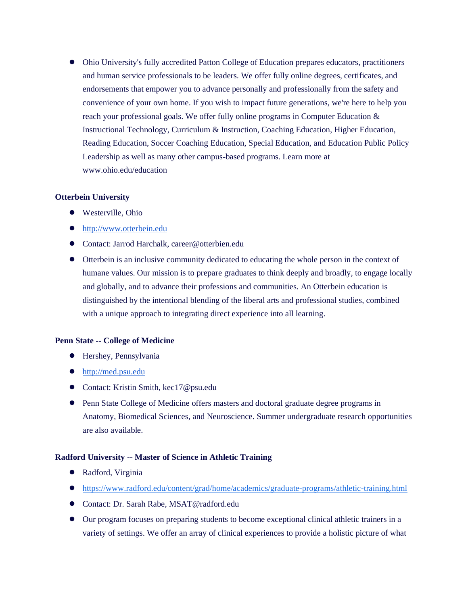● Ohio University's fully accredited Patton College of Education prepares educators, practitioners and human service professionals to be leaders. We offer fully online degrees, certificates, and endorsements that empower you to advance personally and professionally from the safety and convenience of your own home. If you wish to impact future generations, we're here to help you reach your professional goals. We offer fully online programs in Computer Education & Instructional Technology, Curriculum & Instruction, Coaching Education, Higher Education, Reading Education, Soccer Coaching Education, Special Education, and Education Public Policy Leadership as well as many other campus-based programs. Learn more at www.ohio.edu/education

#### **Otterbein University**

- Westerville, Ohio
- [http://www.otterbein.edu](http://www.otterbein.edu/)
- Contact: Jarrod Harchalk, career@otterbien.edu
- Otterbein is an inclusive community dedicated to educating the whole person in the context of humane values. Our mission is to prepare graduates to think deeply and broadly, to engage locally and globally, and to advance their professions and communities. An Otterbein education is distinguished by the intentional blending of the liberal arts and professional studies, combined with a unique approach to integrating direct experience into all learning.

#### **Penn State -- College of Medicine**

- Hershey, Pennsylvania
- [http://med.psu.edu](http://med.psu.edu/)
- Contact: Kristin Smith, kec17@psu.edu
- Penn State College of Medicine offers masters and doctoral graduate degree programs in Anatomy, Biomedical Sciences, and Neuroscience. Summer undergraduate research opportunities are also available.

#### **Radford University -- Master of Science in Athletic Training**

- Radford, Virginia
- <https://www.radford.edu/content/grad/home/academics/graduate-programs/athletic-training.html>
- Contact: Dr. Sarah Rabe, MSAT@radford.edu
- Our program focuses on preparing students to become exceptional clinical athletic trainers in a variety of settings. We offer an array of clinical experiences to provide a holistic picture of what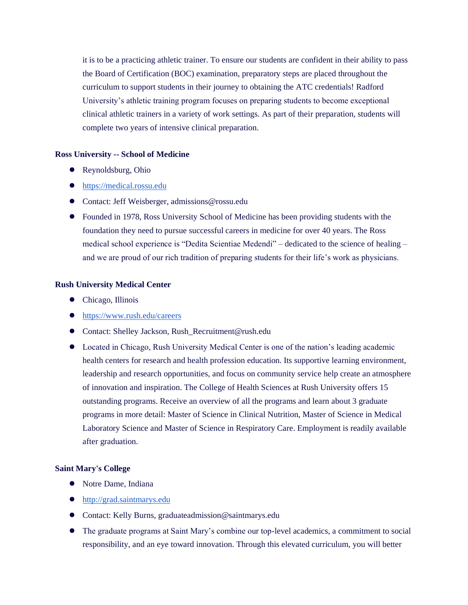it is to be a practicing athletic trainer. To ensure our students are confident in their ability to pass the Board of Certification (BOC) examination, preparatory steps are placed throughout the curriculum to support students in their journey to obtaining the ATC credentials! Radford University's athletic training program focuses on preparing students to become exceptional clinical athletic trainers in a variety of work settings. As part of their preparation, students will complete two years of intensive clinical preparation.

#### **Ross University -- School of Medicine**

- Reynoldsburg, Ohio
- [https://medical.rossu.edu](https://medical.rossu.edu/)
- Contact: Jeff Weisberger, admissions@rossu.edu
- Founded in 1978, Ross University School of Medicine has been providing students with the foundation they need to pursue successful careers in medicine for over 40 years. The Ross medical school experience is "Dedita Scientiae Medendi" – dedicated to the science of healing – and we are proud of our rich tradition of preparing students for their life's work as physicians.

# **Rush University Medical Center**

- Chicago, Illinois
- <https://www.rush.edu/careers>
- Contact: Shelley Jackson, Rush\_Recruitment@rush.edu
- Located in Chicago, Rush University Medical Center is one of the nation's leading academic health centers for research and health profession education. Its supportive learning environment, leadership and research opportunities, and focus on community service help create an atmosphere of innovation and inspiration. The College of Health Sciences at Rush University offers 15 outstanding programs. Receive an overview of all the programs and learn about 3 graduate programs in more detail: Master of Science in Clinical Nutrition, Master of Science in Medical Laboratory Science and Master of Science in Respiratory Care. Employment is readily available after graduation.

# **Saint Mary's College**

- Notre Dame, Indiana
- [http://grad.saintmarys.edu](http://grad.saintmarys.edu/)
- Contact: Kelly Burns, graduateadmission@saintmarys.edu
- The graduate programs at Saint Mary's combine our top-level academics, a commitment to social responsibility, and an eye toward innovation. Through this elevated curriculum, you will better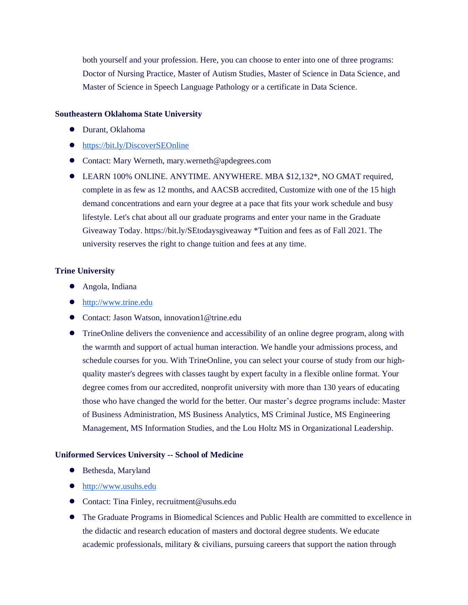both yourself and your profession. Here, you can choose to enter into one of three programs: Doctor of Nursing Practice, Master of Autism Studies, Master of Science in Data Science, and Master of Science in Speech Language Pathology or a certificate in Data Science.

#### **Southeastern Oklahoma State University**

- Durant, Oklahoma
- <https://bit.ly/DiscoverSEOnline>
- Contact: Mary Werneth, mary.werneth@apdegrees.com
- LEARN 100% ONLINE. ANYTIME. ANYWHERE. MBA \$12,132\*, NO GMAT required, complete in as few as 12 months, and AACSB accredited, Customize with one of the 15 high demand concentrations and earn your degree at a pace that fits your work schedule and busy lifestyle. Let's chat about all our graduate programs and enter your name in the Graduate Giveaway Today. https://bit.ly/SEtodaysgiveaway \*Tuition and fees as of Fall 2021. The university reserves the right to change tuition and fees at any time.

# **Trine University**

- Angola, Indiana
- [http://www.trine.edu](http://www.trine.edu/)
- Contact: Jason Watson, innovation1@trine.edu
- TrineOnline delivers the convenience and accessibility of an online degree program, along with the warmth and support of actual human interaction. We handle your admissions process, and schedule courses for you. With TrineOnline, you can select your course of study from our highquality master's degrees with classes taught by expert faculty in a flexible online format. Your degree comes from our accredited, nonprofit university with more than 130 years of educating those who have changed the world for the better. Our master's degree programs include: Master of Business Administration, MS Business Analytics, MS Criminal Justice, MS Engineering Management, MS Information Studies, and the Lou Holtz MS in Organizational Leadership.

# **Uniformed Services University -- School of Medicine**

- Bethesda, Maryland
- [http://www.usuhs.edu](http://www.usuhs.edu/)
- Contact: Tina Finley, recruitment@usuhs.edu
- The Graduate Programs in Biomedical Sciences and Public Health are committed to excellence in the didactic and research education of masters and doctoral degree students. We educate academic professionals, military & civilians, pursuing careers that support the nation through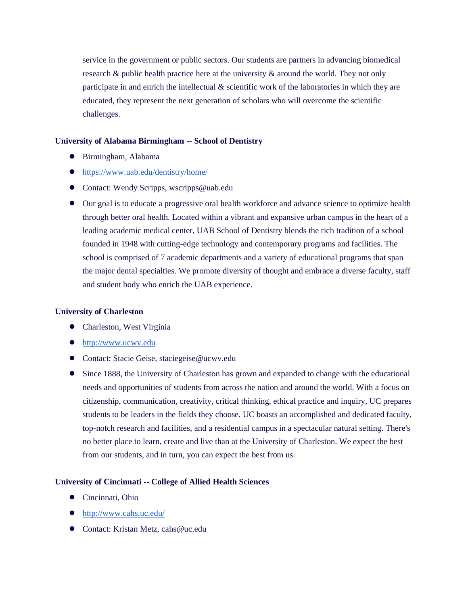service in the government or public sectors. Our students are partners in advancing biomedical research  $\&$  public health practice here at the university  $\&$  around the world. They not only participate in and enrich the intellectual  $\&$  scientific work of the laboratories in which they are educated, they represent the next generation of scholars who will overcome the scientific challenges.

#### **University of Alabama Birmingham -- School of Dentistry**

- Birmingham, Alabama
- <https://www.uab.edu/dentistry/home/>
- Contact: Wendy Scripps, wscripps@uab.edu
- Our goal is to educate a progressive oral health workforce and advance science to optimize health through better oral health. Located within a vibrant and expansive urban campus in the heart of a leading academic medical center, UAB School of Dentistry blends the rich tradition of a school founded in 1948 with cutting-edge technology and contemporary programs and facilities. The school is comprised of 7 academic departments and a variety of educational programs that span the major dental specialties. We promote diversity of thought and embrace a diverse faculty, staff and student body who enrich the UAB experience.

#### **University of Charleston**

- Charleston, West Virginia
- [http://www.ucwv.edu](http://www.ucwv.edu/)
- Contact: Stacie Geise, staciegeise@ucwv.edu
- Since 1888, the University of Charleston has grown and expanded to change with the educational needs and opportunities of students from across the nation and around the world. With a focus on citizenship, communication, creativity, critical thinking, ethical practice and inquiry, UC prepares students to be leaders in the fields they choose. UC boasts an accomplished and dedicated faculty, top-notch research and facilities, and a residential campus in a spectacular natural setting. There's no better place to learn, create and live than at the University of Charleston. We expect the best from our students, and in turn, you can expect the best from us.

#### **University of Cincinnati -- College of Allied Health Sciences**

- Cincinnati, Ohio
- <http://www.cahs.uc.edu/>
- Contact: Kristan Metz, cahs@uc.edu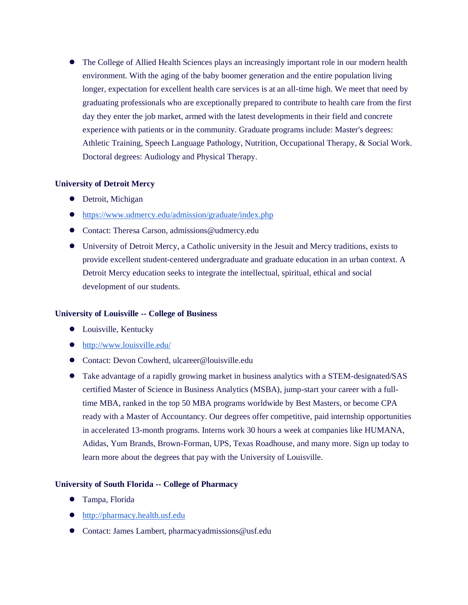• The College of Allied Health Sciences plays an increasingly important role in our modern health environment. With the aging of the baby boomer generation and the entire population living longer, expectation for excellent health care services is at an all-time high. We meet that need by graduating professionals who are exceptionally prepared to contribute to health care from the first day they enter the job market, armed with the latest developments in their field and concrete experience with patients or in the community. Graduate programs include: Master's degrees: Athletic Training, Speech Language Pathology, Nutrition, Occupational Therapy, & Social Work. Doctoral degrees: Audiology and Physical Therapy.

# **University of Detroit Mercy**

- Detroit, Michigan
- <https://www.udmercy.edu/admission/graduate/index.php>
- Contact: Theresa Carson, admissions@udmercy.edu
- University of Detroit Mercy, a Catholic university in the Jesuit and Mercy traditions, exists to provide excellent student-centered undergraduate and graduate education in an urban context. A Detroit Mercy education seeks to integrate the intellectual, spiritual, ethical and social development of our students.

# **University of Louisville -- College of Business**

- Louisville, Kentucky
- <http://www.louisville.edu/>
- Contact: Devon Cowherd, ulcareer@louisville.edu
- Take advantage of a rapidly growing market in business analytics with a STEM-designated/SAS certified Master of Science in Business Analytics (MSBA), jump-start your career with a fulltime MBA, ranked in the top 50 MBA programs worldwide by Best Masters, or become CPA ready with a Master of Accountancy. Our degrees offer competitive, paid internship opportunities in accelerated 13-month programs. Interns work 30 hours a week at companies like HUMANA, Adidas, Yum Brands, Brown-Forman, UPS, Texas Roadhouse, and many more. Sign up today to learn more about the degrees that pay with the University of Louisville.

# **University of South Florida -- College of Pharmacy**

- Tampa, Florida
- [http://pharmacy.health.usf.edu](http://pharmacy.health.usf.edu/)
- Contact: James Lambert, pharmacyadmissions@usf.edu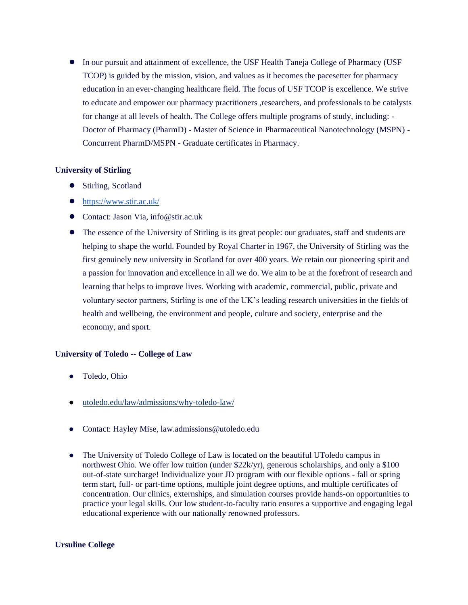● In our pursuit and attainment of excellence, the USF Health Taneja College of Pharmacy (USF TCOP) is guided by the mission, vision, and values as it becomes the pacesetter for pharmacy education in an ever-changing healthcare field. The focus of USF TCOP is excellence. We strive to educate and empower our pharmacy practitioners ,researchers, and professionals to be catalysts for change at all levels of health. The College offers multiple programs of study, including: - Doctor of Pharmacy (PharmD) - Master of Science in Pharmaceutical Nanotechnology (MSPN) - Concurrent PharmD/MSPN - Graduate certificates in Pharmacy.

# **University of Stirling**

- Stirling, Scotland
- <https://www.stir.ac.uk/>
- Contact: Jason Via, info@stir.ac.uk
- The essence of the University of Stirling is its great people: our graduates, staff and students are helping to shape the world. Founded by Royal Charter in 1967, the University of Stirling was the first genuinely new university in Scotland for over 400 years. We retain our pioneering spirit and a passion for innovation and excellence in all we do. We aim to be at the forefront of research and learning that helps to improve lives. Working with academic, commercial, public, private and voluntary sector partners, Stirling is one of the UK's leading research universities in the fields of health and wellbeing, the environment and people, culture and society, enterprise and the economy, and sport.

# **University of Toledo -- College of Law**

- Toledo, Ohio
- [utoledo.edu/law/admissions/why-toledo-law/](https://www.utoledo.edu/law/admissions/why-toledo-law/)
- Contact: Hayley Mise, law.admissions@utoledo.edu
- The University of Toledo College of Law is located on the beautiful UToledo campus in northwest Ohio. We offer low tuition (under \$22k/yr), generous scholarships, and only a \$100 out-of-state surcharge! Individualize your JD program with our flexible options - fall or spring term start, full- or part-time options, multiple joint degree options, and multiple certificates of concentration. Our clinics, externships, and simulation courses provide hands-on opportunities to practice your legal skills. Our low student-to-faculty ratio ensures a supportive and engaging legal educational experience with our nationally renowned professors.

#### **Ursuline College**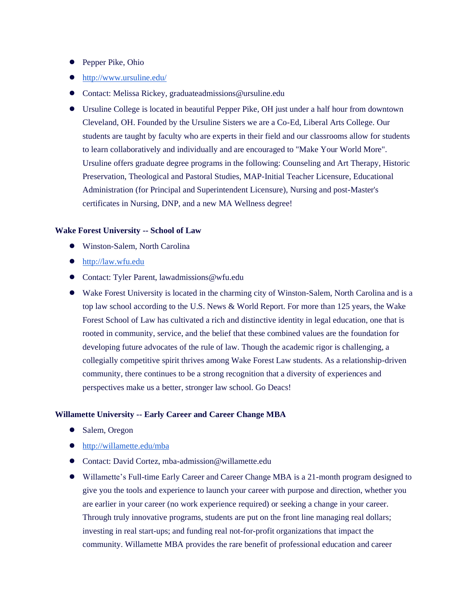- Pepper Pike, Ohio
- <http://www.ursuline.edu/>
- Contact: Melissa Rickey, graduateadmissions@ursuline.edu
- Ursuline College is located in beautiful Pepper Pike, OH just under a half hour from downtown Cleveland, OH. Founded by the Ursuline Sisters we are a Co-Ed, Liberal Arts College. Our students are taught by faculty who are experts in their field and our classrooms allow for students to learn collaboratively and individually and are encouraged to "Make Your World More". Ursuline offers graduate degree programs in the following: Counseling and Art Therapy, Historic Preservation, Theological and Pastoral Studies, MAP-Initial Teacher Licensure, Educational Administration (for Principal and Superintendent Licensure), Nursing and post-Master's certificates in Nursing, DNP, and a new MA Wellness degree!

#### **Wake Forest University -- School of Law**

- Winston-Salem, North Carolina
- [http://law.wfu.edu](http://law.wfu.edu/)
- Contact: Tyler Parent, lawadmissions@wfu.edu
- Wake Forest University is located in the charming city of Winston-Salem, North Carolina and is a top law school according to the U.S. News & World Report. For more than 125 years, the Wake Forest School of Law has cultivated a rich and distinctive identity in legal education, one that is rooted in community, service, and the belief that these combined values are the foundation for developing future advocates of the rule of law. Though the academic rigor is challenging, a collegially competitive spirit thrives among Wake Forest Law students. As a relationship-driven community, there continues to be a strong recognition that a diversity of experiences and perspectives make us a better, stronger law school. Go Deacs!

#### **Willamette University -- Early Career and Career Change MBA**

- Salem, Oregon
- <http://willamette.edu/mba>
- Contact: David Cortez, mba-admission@willamette.edu
- Willamette's Full-time Early Career and Career Change MBA is a 21-month program designed to give you the tools and experience to launch your career with purpose and direction, whether you are earlier in your career (no work experience required) or seeking a change in your career. Through truly innovative programs, students are put on the front line managing real dollars; investing in real start-ups; and funding real not-for-profit organizations that impact the community. Willamette MBA provides the rare benefit of professional education and career